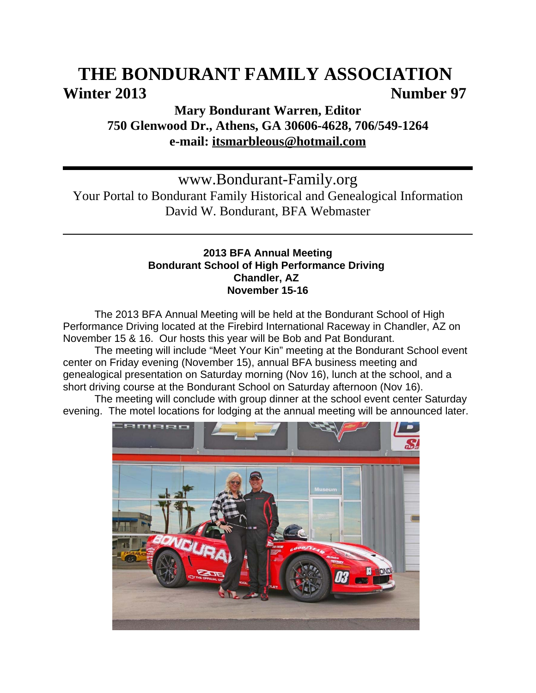# **THE BONDURANT FAMILY ASSOCIATION**  Winter 2013 **Number 97**

# **Mary Bondurant Warren, Editor 750 Glenwood Dr., Athens, GA 30606-4628, 706/549-1264 e-mail: itsmarbleous@hotmail.com**

www.Bondurant-Family.org Your Portal to Bondurant Family Historical and Genealogical Information David W. Bondurant, BFA Webmaster

# **2013 BFA Annual Meeting Bondurant School of High Performance Driving Chandler, AZ November 15-16**

The 2013 BFA Annual Meeting will be held at the Bondurant School of High Performance Driving located at the Firebird International Raceway in Chandler, AZ on November 15 & 16. Our hosts this year will be Bob and Pat Bondurant.

The meeting will include "Meet Your Kin" meeting at the Bondurant School event center on Friday evening (November 15), annual BFA business meeting and genealogical presentation on Saturday morning (Nov 16), lunch at the school, and a short driving course at the Bondurant School on Saturday afternoon (Nov 16).

The meeting will conclude with group dinner at the school event center Saturday evening. The motel locations for lodging at the annual meeting will be announced later.

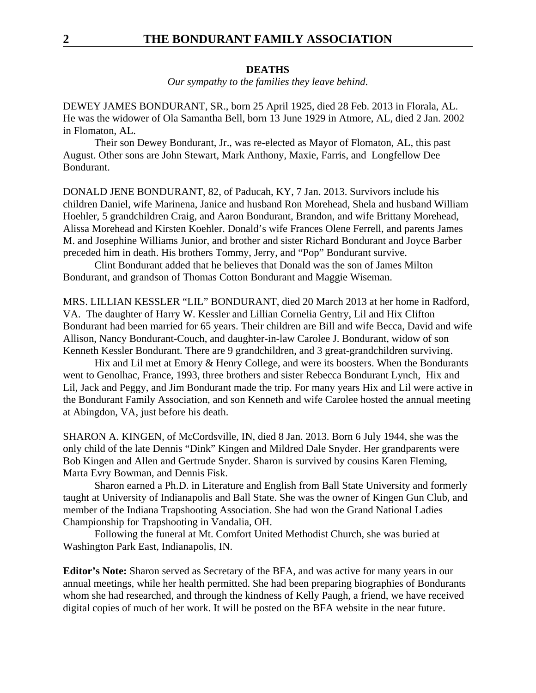#### **DEATHS**

*Our sympathy to the families they leave behind*.

DEWEY JAMES BONDURANT, SR., born 25 April 1925, died 28 Feb. 2013 in Florala, AL. He was the widower of Ola Samantha Bell, born 13 June 1929 in Atmore, AL, died 2 Jan. 2002 in Flomaton, AL.

Their son Dewey Bondurant, Jr., was re-elected as Mayor of Flomaton, AL, this past August. Other sons are John Stewart, Mark Anthony, Maxie, Farris, and Longfellow Dee Bondurant.

DONALD JENE BONDURANT, 82, of Paducah, KY, 7 Jan. 2013. Survivors include his children Daniel, wife Marinena, Janice and husband Ron Morehead, Shela and husband William Hoehler, 5 grandchildren Craig, and Aaron Bondurant, Brandon, and wife Brittany Morehead, Alissa Morehead and Kirsten Koehler. Donald's wife Frances Olene Ferrell, and parents James M. and Josephine Williams Junior, and brother and sister Richard Bondurant and Joyce Barber preceded him in death. His brothers Tommy, Jerry, and "Pop" Bondurant survive.

Clint Bondurant added that he believes that Donald was the son of James Milton Bondurant, and grandson of Thomas Cotton Bondurant and Maggie Wiseman.

MRS. LILLIAN KESSLER "LIL" BONDURANT, died 20 March 2013 at her home in Radford, VA. The daughter of Harry W. Kessler and Lillian Cornelia Gentry, Lil and Hix Clifton Bondurant had been married for 65 years. Their children are Bill and wife Becca, David and wife Allison, Nancy Bondurant-Couch, and daughter-in-law Carolee J. Bondurant, widow of son Kenneth Kessler Bondurant. There are 9 grandchildren, and 3 great-grandchildren surviving.

Hix and Lil met at Emory & Henry College, and were its boosters. When the Bondurants went to Genolhac, France, 1993, three brothers and sister Rebecca Bondurant Lynch, Hix and Lil, Jack and Peggy, and Jim Bondurant made the trip. For many years Hix and Lil were active in the Bondurant Family Association, and son Kenneth and wife Carolee hosted the annual meeting at Abingdon, VA, just before his death.

SHARON A. KINGEN, of McCordsville, IN, died 8 Jan. 2013. Born 6 July 1944, she was the only child of the late Dennis "Dink" Kingen and Mildred Dale Snyder. Her grandparents were Bob Kingen and Allen and Gertrude Snyder. Sharon is survived by cousins Karen Fleming, Marta Evry Bowman, and Dennis Fisk.

Sharon earned a Ph.D. in Literature and English from Ball State University and formerly taught at University of Indianapolis and Ball State. She was the owner of Kingen Gun Club, and member of the Indiana Trapshooting Association. She had won the Grand National Ladies Championship for Trapshooting in Vandalia, OH.

Following the funeral at Mt. Comfort United Methodist Church, she was buried at Washington Park East, Indianapolis, IN.

**Editor's Note:** Sharon served as Secretary of the BFA, and was active for many years in our annual meetings, while her health permitted. She had been preparing biographies of Bondurants whom she had researched, and through the kindness of Kelly Paugh, a friend, we have received digital copies of much of her work. It will be posted on the BFA website in the near future.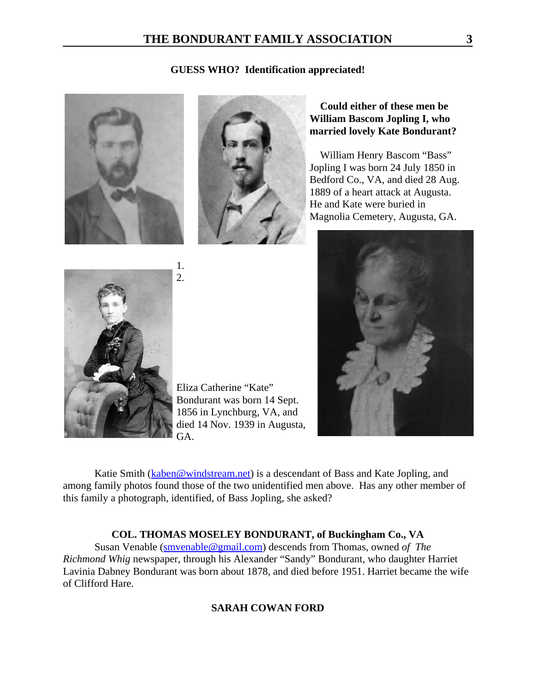### **GUESS WHO? Identification appreciated!**





# **Could either of these men be William Bascom Jopling I, who married lovely Kate Bondurant?**

 William Henry Bascom "Bass" Jopling I was born 24 July 1850 in Bedford Co., VA, and died 28 Aug. 1889 of a heart attack at Augusta. He and Kate were buried in Magnolia Cemetery, Augusta, GA.





1. 2.

Eliza Catherine "Kate" Bondurant was born 14 Sept. 1856 in Lynchburg, VA, and died 14 Nov. 1939 in Augusta, GA.

Katie Smith (kaben@windstream.net) is a descendant of Bass and Kate Jopling, and among family photos found those of the two unidentified men above. Has any other member of this family a photograph, identified, of Bass Jopling, she asked?

# **COL. THOMAS MOSELEY BONDURANT, of Buckingham Co., VA**

Susan Venable (smvenable@gmail.com) descends from Thomas, owned *of The Richmond Whig* newspaper, through his Alexander "Sandy" Bondurant, who daughter Harriet Lavinia Dabney Bondurant was born about 1878, and died before 1951. Harriet became the wife of Clifford Hare.

# **SARAH COWAN FORD**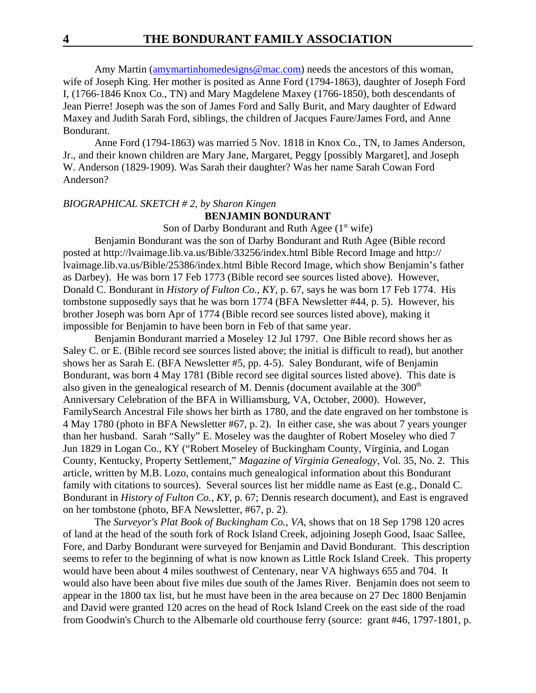Amy Martin (amymartinhomedesigns@mac.com) needs the ancestors of this woman, wife of Joseph King. Her mother is posited as Anne Ford (1794-1863), daughter of Joseph Ford I, (1766-1846 Knox Co., TN) and Mary Magdelene Maxey (1766-1850), both descendants of Jean Pierre! Joseph was the son of James Ford and Sally Burit, and Mary daughter of Edward Maxey and Judith Sarah Ford, siblings, the children of Jacques Faure/James Ford, and Anne Bondurant.

Anne Ford (1794-1863) was married 5 Nov. 1818 in Knox Co., TN, to James Anderson, Jr., and their known children are Mary Jane, Margaret, Peggy [possibly Margaret], and Joseph W. Anderson (1829-1909). Was Sarah their daughter? Was her name Sarah Cowan Ford Anderson?

#### *BIOGRAPHICAL SKETCH # 2, by Sharon Kingen*

### **BENJAMIN BONDURANT**

Son of Darby Bondurant and Ruth Agee  $(1<sup>st</sup> wife)$ 

Benjamin Bondurant was the son of Darby Bondurant and Ruth Agee (Bible record posted at http://lvaimage.lib.va.us/Bible/33256/index.html Bible Record Image and http:// lvaimage.lib.va.us/Bible/25386/index.html Bible Record Image, which show Benjamin's father as Darbey). He was born 17 Feb 1773 (Bible record see sources listed above). However, Donald C. Bondurant in *History of Fulton Co., KY*, p. 67, says he was born 17 Feb 1774. His tombstone supposedly says that he was born 1774 (BFA Newsletter #44, p. 5). However, his brother Joseph was born Apr of 1774 (Bible record see sources listed above), making it impossible for Benjamin to have been born in Feb of that same year.

Benjamin Bondurant married a Moseley 12 Jul 1797. One Bible record shows her as Saley C. or E. (Bible record see sources listed above; the initial is difficult to read), but another shows her as Sarah E. (BFA Newsletter #5, pp. 4-5). Saley Bondurant, wife of Benjamin Bondurant, was born 4 May 1781 (Bible record see digital sources listed above). This date is also given in the genealogical research of M. Dennis (document available at the  $300<sup>th</sup>$ Anniversary Celebration of the BFA in Williamsburg, VA, October, 2000). However, FamilySearch Ancestral File shows her birth as 1780, and the date engraved on her tombstone is 4 May 1780 (photo in BFA Newsletter #67, p. 2). In either case, she was about 7 years younger than her husband. Sarah "Sally" E. Moseley was the daughter of Robert Moseley who died 7 Jun 1829 in Logan Co., KY ("Robert Moseley of Buckingham County, Virginia, and Logan County, Kentucky, Property Settlement," *Magazine of Virginia Genealogy*, Vol. 35, No. 2. This article, written by M.B. Lozo, contains much genealogical information about this Bondurant family with citations to sources). Several sources list her middle name as East (e.g., Donald C. Bondurant in *History of Fulton Co., KY*, p. 67; Dennis research document), and East is engraved on her tombstone (photo, BFA Newsletter, #67, p. 2).

The *Surveyor's Plat Book of Buckingham Co., VA*, shows that on 18 Sep 1798 120 acres of land at the head of the south fork of Rock Island Creek, adjoining Joseph Good, Isaac Sallee, Fore, and Darby Bondurant were surveyed for Benjamin and David Bondurant. This description seems to refer to the beginning of what is now known as Little Rock Island Creek. This property would have been about 4 miles southwest of Centenary, near VA highways 655 and 704. It would also have been about five miles due south of the James River. Benjamin does not seem to appear in the 1800 tax list, but he must have been in the area because on 27 Dec 1800 Benjamin and David were granted 120 acres on the head of Rock Island Creek on the east side of the road from Goodwin's Church to the Albemarle old courthouse ferry (source: grant #46, 1797-1801, p.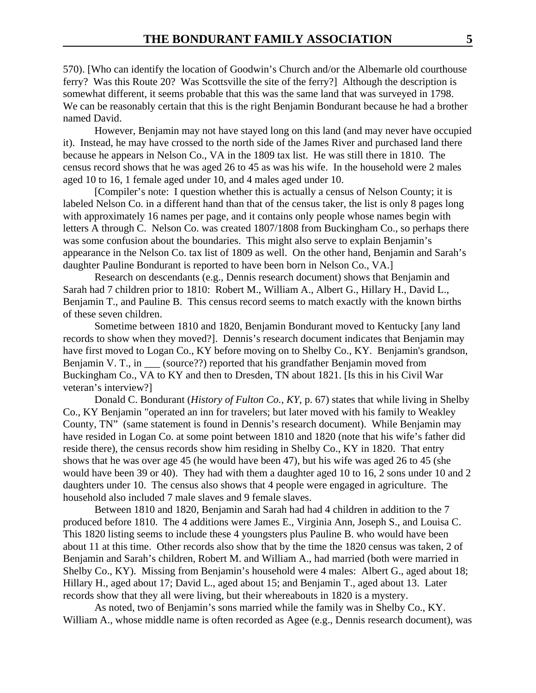570). [Who can identify the location of Goodwin's Church and/or the Albemarle old courthouse ferry? Was this Route 20? Was Scottsville the site of the ferry?] Although the description is somewhat different, it seems probable that this was the same land that was surveyed in 1798. We can be reasonably certain that this is the right Benjamin Bondurant because he had a brother named David.

However, Benjamin may not have stayed long on this land (and may never have occupied it). Instead, he may have crossed to the north side of the James River and purchased land there because he appears in Nelson Co., VA in the 1809 tax list. He was still there in 1810. The census record shows that he was aged 26 to 45 as was his wife. In the household were 2 males aged 10 to 16, 1 female aged under 10, and 4 males aged under 10.

[Compiler's note: I question whether this is actually a census of Nelson County; it is labeled Nelson Co. in a different hand than that of the census taker, the list is only 8 pages long with approximately 16 names per page, and it contains only people whose names begin with letters A through C. Nelson Co. was created 1807/1808 from Buckingham Co., so perhaps there was some confusion about the boundaries. This might also serve to explain Benjamin's appearance in the Nelson Co. tax list of 1809 as well. On the other hand, Benjamin and Sarah's daughter Pauline Bondurant is reported to have been born in Nelson Co., VA.]

Research on descendants (e.g., Dennis research document) shows that Benjamin and Sarah had 7 children prior to 1810: Robert M., William A., Albert G., Hillary H., David L., Benjamin T., and Pauline B. This census record seems to match exactly with the known births of these seven children.

Sometime between 1810 and 1820, Benjamin Bondurant moved to Kentucky [any land records to show when they moved?]. Dennis's research document indicates that Benjamin may have first moved to Logan Co., KY before moving on to Shelby Co., KY. Benjamin's grandson, Benjamin V. T., in (source??) reported that his grandfather Benjamin moved from Buckingham Co., VA to KY and then to Dresden, TN about 1821. [Is this in his Civil War veteran's interview?]

Donald C. Bondurant (*History of Fulton Co., KY*, p. 67) states that while living in Shelby Co., KY Benjamin "operated an inn for travelers; but later moved with his family to Weakley County, TN" (same statement is found in Dennis's research document). While Benjamin may have resided in Logan Co. at some point between 1810 and 1820 (note that his wife's father did reside there), the census records show him residing in Shelby Co., KY in 1820. That entry shows that he was over age 45 (he would have been 47), but his wife was aged 26 to 45 (she would have been 39 or 40). They had with them a daughter aged 10 to 16, 2 sons under 10 and 2 daughters under 10. The census also shows that 4 people were engaged in agriculture. The household also included 7 male slaves and 9 female slaves.

Between 1810 and 1820, Benjamin and Sarah had had 4 children in addition to the 7 produced before 1810. The 4 additions were James E., Virginia Ann, Joseph S., and Louisa C. This 1820 listing seems to include these 4 youngsters plus Pauline B. who would have been about 11 at this time. Other records also show that by the time the 1820 census was taken, 2 of Benjamin and Sarah's children, Robert M. and William A., had married (both were married in Shelby Co., KY). Missing from Benjamin's household were 4 males: Albert G., aged about 18; Hillary H., aged about 17; David L., aged about 15; and Benjamin T., aged about 13. Later records show that they all were living, but their whereabouts in 1820 is a mystery.

As noted, two of Benjamin's sons married while the family was in Shelby Co., KY. William A., whose middle name is often recorded as Agee (e.g., Dennis research document), was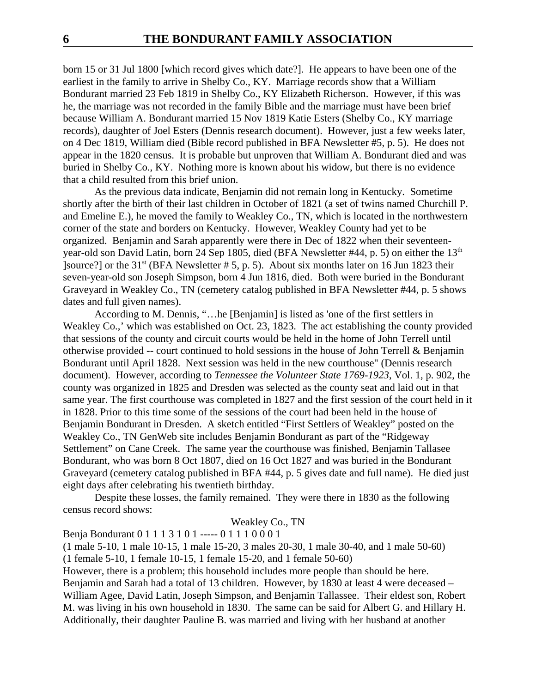born 15 or 31 Jul 1800 [which record gives which date?]. He appears to have been one of the earliest in the family to arrive in Shelby Co., KY. Marriage records show that a William Bondurant married 23 Feb 1819 in Shelby Co., KY Elizabeth Richerson. However, if this was he, the marriage was not recorded in the family Bible and the marriage must have been brief because William A. Bondurant married 15 Nov 1819 Katie Esters (Shelby Co., KY marriage records), daughter of Joel Esters (Dennis research document). However, just a few weeks later, on 4 Dec 1819, William died (Bible record published in BFA Newsletter #5, p. 5). He does not appear in the 1820 census. It is probable but unproven that William A. Bondurant died and was buried in Shelby Co., KY. Nothing more is known about his widow, but there is no evidence that a child resulted from this brief union.

As the previous data indicate, Benjamin did not remain long in Kentucky. Sometime shortly after the birth of their last children in October of 1821 (a set of twins named Churchill P. and Emeline E.), he moved the family to Weakley Co., TN, which is located in the northwestern corner of the state and borders on Kentucky. However, Weakley County had yet to be organized. Benjamin and Sarah apparently were there in Dec of 1822 when their seventeenyear-old son David Latin, born 24 Sep 1805, died (BFA Newsletter #44, p. 5) on either the 13<sup>th</sup>  $\sqrt{\frac{323 \text{ ft}}{100}}$  or the 31<sup>st</sup> (BFA Newsletter # 5, p. 5). About six months later on 16 Jun 1823 their seven-year-old son Joseph Simpson, born 4 Jun 1816, died. Both were buried in the Bondurant Graveyard in Weakley Co., TN (cemetery catalog published in BFA Newsletter #44, p. 5 shows dates and full given names).

According to M. Dennis, "…he [Benjamin] is listed as 'one of the first settlers in Weakley Co.,' which was established on Oct. 23, 1823. The act establishing the county provided that sessions of the county and circuit courts would be held in the home of John Terrell until otherwise provided -- court continued to hold sessions in the house of John Terrell & Benjamin Bondurant until April 1828. Next session was held in the new courthouse" (Dennis research document). However, according to *Tennessee the Volunteer State 1769-1923*, Vol. 1, p. 902, the county was organized in 1825 and Dresden was selected as the county seat and laid out in that same year. The first courthouse was completed in 1827 and the first session of the court held in it in 1828. Prior to this time some of the sessions of the court had been held in the house of Benjamin Bondurant in Dresden. A sketch entitled "First Settlers of Weakley" posted on the Weakley Co., TN GenWeb site includes Benjamin Bondurant as part of the "Ridgeway Settlement" on Cane Creek. The same year the courthouse was finished, Benjamin Tallasee Bondurant, who was born 8 Oct 1807, died on 16 Oct 1827 and was buried in the Bondurant Graveyard (cemetery catalog published in BFA #44, p. 5 gives date and full name). He died just eight days after celebrating his twentieth birthday.

Despite these losses, the family remained. They were there in 1830 as the following census record shows:

### Weakley Co., TN

Benja Bondurant 0 1 1 1 3 1 0 1 ----- 0 1 1 1 0 0 0 1

(1 male 5-10, 1 male 10-15, 1 male 15-20, 3 males 20-30, 1 male 30-40, and 1 male 50-60) (1 female 5-10, 1 female 10-15, 1 female 15-20, and 1 female 50-60)

However, there is a problem; this household includes more people than should be here. Benjamin and Sarah had a total of 13 children. However, by 1830 at least 4 were deceased – William Agee, David Latin, Joseph Simpson, and Benjamin Tallassee. Their eldest son, Robert M. was living in his own household in 1830. The same can be said for Albert G. and Hillary H. Additionally, their daughter Pauline B. was married and living with her husband at another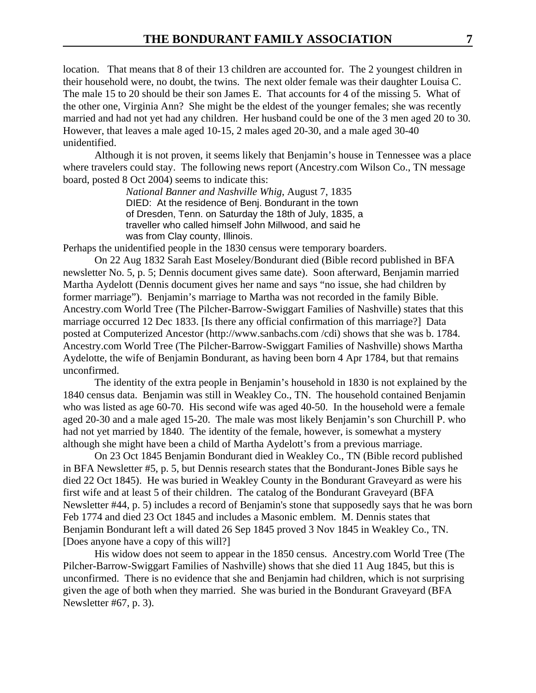location. That means that 8 of their 13 children are accounted for. The 2 youngest children in their household were, no doubt, the twins. The next older female was their daughter Louisa C. The male 15 to 20 should be their son James E. That accounts for 4 of the missing 5. What of the other one, Virginia Ann? She might be the eldest of the younger females; she was recently married and had not yet had any children. Her husband could be one of the 3 men aged 20 to 30. However, that leaves a male aged 10-15, 2 males aged 20-30, and a male aged 30-40 unidentified.

Although it is not proven, it seems likely that Benjamin's house in Tennessee was a place where travelers could stay. The following news report (Ancestry.com Wilson Co., TN message board, posted 8 Oct 2004) seems to indicate this:

> *National Banner and Nashville Whig*, August 7, 1835 DIED: At the residence of Benj. Bondurant in the town of Dresden, Tenn. on Saturday the 18th of July, 1835, a traveller who called himself John Millwood, and said he was from Clay county, Illinois.

Perhaps the unidentified people in the 1830 census were temporary boarders.

On 22 Aug 1832 Sarah East Moseley/Bondurant died (Bible record published in BFA newsletter No. 5, p. 5; Dennis document gives same date). Soon afterward, Benjamin married Martha Aydelott (Dennis document gives her name and says "no issue, she had children by former marriage"). Benjamin's marriage to Martha was not recorded in the family Bible. Ancestry.com World Tree (The Pilcher-Barrow-Swiggart Families of Nashville) states that this marriage occurred 12 Dec 1833. [Is there any official confirmation of this marriage?] Data posted at Computerized Ancestor (http://www.sanbachs.com /cdi) shows that she was b. 1784. Ancestry.com World Tree (The Pilcher-Barrow-Swiggart Families of Nashville) shows Martha Aydelotte, the wife of Benjamin Bondurant, as having been born 4 Apr 1784, but that remains unconfirmed.

The identity of the extra people in Benjamin's household in 1830 is not explained by the 1840 census data. Benjamin was still in Weakley Co., TN. The household contained Benjamin who was listed as age 60-70. His second wife was aged 40-50. In the household were a female aged 20-30 and a male aged 15-20. The male was most likely Benjamin's son Churchill P. who had not yet married by 1840. The identity of the female, however, is somewhat a mystery although she might have been a child of Martha Aydelott's from a previous marriage.

On 23 Oct 1845 Benjamin Bondurant died in Weakley Co., TN (Bible record published in BFA Newsletter #5, p. 5, but Dennis research states that the Bondurant-Jones Bible says he died 22 Oct 1845). He was buried in Weakley County in the Bondurant Graveyard as were his first wife and at least 5 of their children. The catalog of the Bondurant Graveyard (BFA Newsletter #44, p. 5) includes a record of Benjamin's stone that supposedly says that he was born Feb 1774 and died 23 Oct 1845 and includes a Masonic emblem. M. Dennis states that Benjamin Bondurant left a will dated 26 Sep 1845 proved 3 Nov 1845 in Weakley Co., TN. [Does anyone have a copy of this will?]

His widow does not seem to appear in the 1850 census. Ancestry.com World Tree (The Pilcher-Barrow-Swiggart Families of Nashville) shows that she died 11 Aug 1845, but this is unconfirmed. There is no evidence that she and Benjamin had children, which is not surprising given the age of both when they married. She was buried in the Bondurant Graveyard (BFA Newsletter #67, p. 3).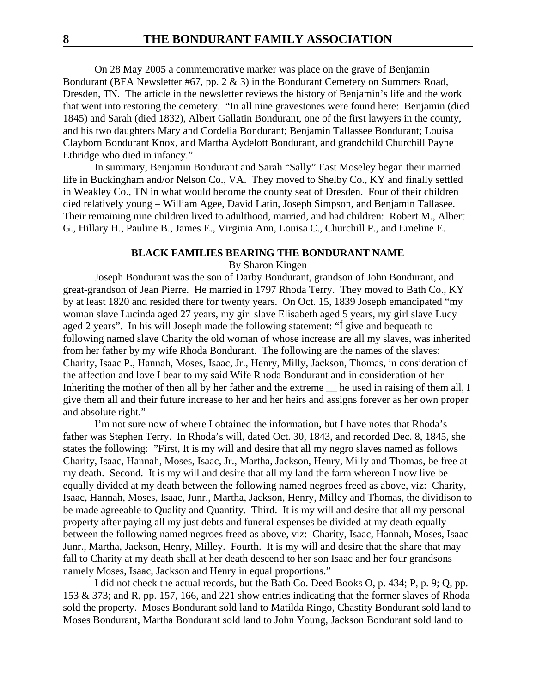On 28 May 2005 a commemorative marker was place on the grave of Benjamin Bondurant (BFA Newsletter #67, pp. 2 & 3) in the Bondurant Cemetery on Summers Road, Dresden, TN. The article in the newsletter reviews the history of Benjamin's life and the work that went into restoring the cemetery. "In all nine gravestones were found here: Benjamin (died 1845) and Sarah (died 1832), Albert Gallatin Bondurant, one of the first lawyers in the county, and his two daughters Mary and Cordelia Bondurant; Benjamin Tallassee Bondurant; Louisa Clayborn Bondurant Knox, and Martha Aydelott Bondurant, and grandchild Churchill Payne Ethridge who died in infancy."

In summary, Benjamin Bondurant and Sarah "Sally" East Moseley began their married life in Buckingham and/or Nelson Co., VA. They moved to Shelby Co., KY and finally settled in Weakley Co., TN in what would become the county seat of Dresden. Four of their children died relatively young – William Agee, David Latin, Joseph Simpson, and Benjamin Tallasee. Their remaining nine children lived to adulthood, married, and had children: Robert M., Albert G., Hillary H., Pauline B., James E., Virginia Ann, Louisa C., Churchill P., and Emeline E.

#### **BLACK FAMILIES BEARING THE BONDURANT NAME**

By Sharon Kingen

Joseph Bondurant was the son of Darby Bondurant, grandson of John Bondurant, and great-grandson of Jean Pierre. He married in 1797 Rhoda Terry. They moved to Bath Co., KY by at least 1820 and resided there for twenty years. On Oct. 15, 1839 Joseph emancipated "my woman slave Lucinda aged 27 years, my girl slave Elisabeth aged 5 years, my girl slave Lucy aged 2 years". In his will Joseph made the following statement: "Í give and bequeath to following named slave Charity the old woman of whose increase are all my slaves, was inherited from her father by my wife Rhoda Bondurant. The following are the names of the slaves: Charity, Isaac P., Hannah, Moses, Isaac, Jr., Henry, Milly, Jackson, Thomas, in consideration of the affection and love I bear to my said Wife Rhoda Bondurant and in consideration of her Inheriting the mother of then all by her father and the extreme he used in raising of them all, I give them all and their future increase to her and her heirs and assigns forever as her own proper and absolute right."

I'm not sure now of where I obtained the information, but I have notes that Rhoda's father was Stephen Terry. In Rhoda's will, dated Oct. 30, 1843, and recorded Dec. 8, 1845, she states the following: "First, It is my will and desire that all my negro slaves named as follows Charity, Isaac, Hannah, Moses, Isaac, Jr., Martha, Jackson, Henry, Milly and Thomas, be free at my death. Second. It is my will and desire that all my land the farm whereon I now live be equally divided at my death between the following named negroes freed as above, viz: Charity, Isaac, Hannah, Moses, Isaac, Junr., Martha, Jackson, Henry, Milley and Thomas, the dividison to be made agreeable to Quality and Quantity. Third. It is my will and desire that all my personal property after paying all my just debts and funeral expenses be divided at my death equally between the following named negroes freed as above, viz: Charity, Isaac, Hannah, Moses, Isaac Junr., Martha, Jackson, Henry, Milley. Fourth. It is my will and desire that the share that may fall to Charity at my death shall at her death descend to her son Isaac and her four grandsons namely Moses, Isaac, Jackson and Henry in equal proportions."

I did not check the actual records, but the Bath Co. Deed Books O, p. 434; P, p. 9; Q, pp. 153 & 373; and R, pp. 157, 166, and 221 show entries indicating that the former slaves of Rhoda sold the property. Moses Bondurant sold land to Matilda Ringo, Chastity Bondurant sold land to Moses Bondurant, Martha Bondurant sold land to John Young, Jackson Bondurant sold land to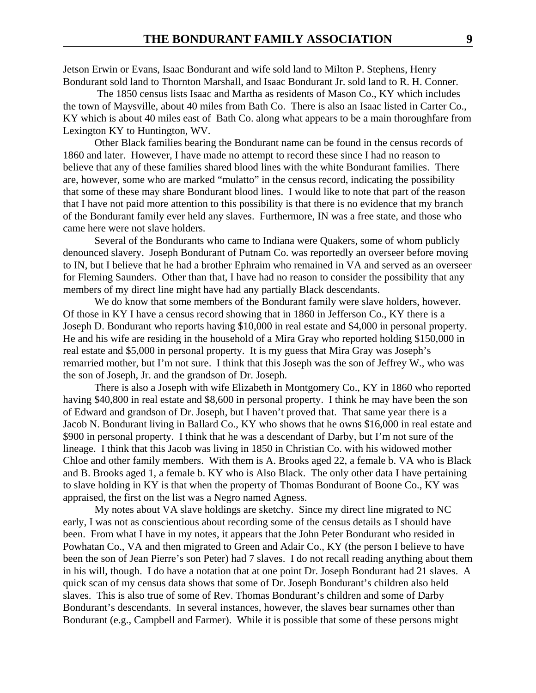Jetson Erwin or Evans, Isaac Bondurant and wife sold land to Milton P. Stephens, Henry Bondurant sold land to Thornton Marshall, and Isaac Bondurant Jr. sold land to R. H. Conner.

 The 1850 census lists Isaac and Martha as residents of Mason Co., KY which includes the town of Maysville, about 40 miles from Bath Co. There is also an Isaac listed in Carter Co., KY which is about 40 miles east of Bath Co. along what appears to be a main thoroughfare from Lexington KY to Huntington, WV.

Other Black families bearing the Bondurant name can be found in the census records of 1860 and later. However, I have made no attempt to record these since I had no reason to believe that any of these families shared blood lines with the white Bondurant families. There are, however, some who are marked "mulatto" in the census record, indicating the possibility that some of these may share Bondurant blood lines. I would like to note that part of the reason that I have not paid more attention to this possibility is that there is no evidence that my branch of the Bondurant family ever held any slaves. Furthermore, IN was a free state, and those who came here were not slave holders.

Several of the Bondurants who came to Indiana were Quakers, some of whom publicly denounced slavery. Joseph Bondurant of Putnam Co. was reportedly an overseer before moving to IN, but I believe that he had a brother Ephraim who remained in VA and served as an overseer for Fleming Saunders. Other than that, I have had no reason to consider the possibility that any members of my direct line might have had any partially Black descendants.

We do know that some members of the Bondurant family were slave holders, however. Of those in KY I have a census record showing that in 1860 in Jefferson Co., KY there is a Joseph D. Bondurant who reports having \$10,000 in real estate and \$4,000 in personal property. He and his wife are residing in the household of a Mira Gray who reported holding \$150,000 in real estate and \$5,000 in personal property. It is my guess that Mira Gray was Joseph's remarried mother, but I'm not sure. I think that this Joseph was the son of Jeffrey W., who was the son of Joseph, Jr. and the grandson of Dr. Joseph.

There is also a Joseph with wife Elizabeth in Montgomery Co., KY in 1860 who reported having \$40,800 in real estate and \$8,600 in personal property. I think he may have been the son of Edward and grandson of Dr. Joseph, but I haven't proved that. That same year there is a Jacob N. Bondurant living in Ballard Co., KY who shows that he owns \$16,000 in real estate and \$900 in personal property. I think that he was a descendant of Darby, but I'm not sure of the lineage. I think that this Jacob was living in 1850 in Christian Co. with his widowed mother Chloe and other family members. With them is A. Brooks aged 22, a female b. VA who is Black and B. Brooks aged 1, a female b. KY who is Also Black. The only other data I have pertaining to slave holding in KY is that when the property of Thomas Bondurant of Boone Co., KY was appraised, the first on the list was a Negro named Agness.

My notes about VA slave holdings are sketchy. Since my direct line migrated to NC early, I was not as conscientious about recording some of the census details as I should have been. From what I have in my notes, it appears that the John Peter Bondurant who resided in Powhatan Co., VA and then migrated to Green and Adair Co., KY (the person I believe to have been the son of Jean Pierre's son Peter) had 7 slaves. I do not recall reading anything about them in his will, though. I do have a notation that at one point Dr. Joseph Bondurant had 21 slaves. A quick scan of my census data shows that some of Dr. Joseph Bondurant's children also held slaves. This is also true of some of Rev. Thomas Bondurant's children and some of Darby Bondurant's descendants. In several instances, however, the slaves bear surnames other than Bondurant (e.g., Campbell and Farmer). While it is possible that some of these persons might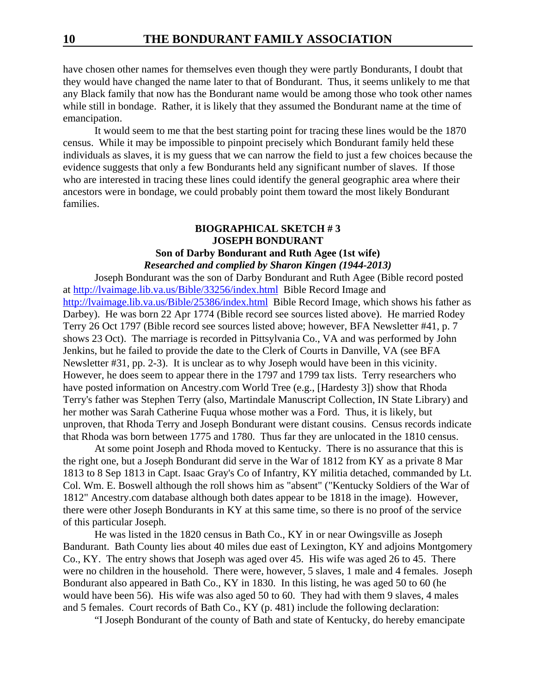have chosen other names for themselves even though they were partly Bondurants, I doubt that they would have changed the name later to that of Bondurant. Thus, it seems unlikely to me that any Black family that now has the Bondurant name would be among those who took other names while still in bondage. Rather, it is likely that they assumed the Bondurant name at the time of emancipation.

It would seem to me that the best starting point for tracing these lines would be the 1870 census. While it may be impossible to pinpoint precisely which Bondurant family held these individuals as slaves, it is my guess that we can narrow the field to just a few choices because the evidence suggests that only a few Bondurants held any significant number of slaves. If those who are interested in tracing these lines could identify the general geographic area where their ancestors were in bondage, we could probably point them toward the most likely Bondurant families.

### **BIOGRAPHICAL SKETCH # 3 JOSEPH BONDURANT Son of Darby Bondurant and Ruth Agee (1st wife)** *Researched and complied by Sharon Kingen (1944-2013)*

Joseph Bondurant was the son of Darby Bondurant and Ruth Agee (Bible record posted at http://lvaimage.lib.va.us/Bible/33256/index.html Bible Record Image and http://lvaimage.lib.va.us/Bible/25386/index.html Bible Record Image, which shows his father as Darbey). He was born 22 Apr 1774 (Bible record see sources listed above). He married Rodey Terry 26 Oct 1797 (Bible record see sources listed above; however, BFA Newsletter #41, p. 7 shows 23 Oct). The marriage is recorded in Pittsylvania Co., VA and was performed by John Jenkins, but he failed to provide the date to the Clerk of Courts in Danville, VA (see BFA Newsletter #31, pp. 2-3). It is unclear as to why Joseph would have been in this vicinity. However, he does seem to appear there in the 1797 and 1799 tax lists. Terry researchers who have posted information on Ancestry.com World Tree (e.g., [Hardesty 3]) show that Rhoda Terry's father was Stephen Terry (also, Martindale Manuscript Collection, IN State Library) and her mother was Sarah Catherine Fuqua whose mother was a Ford. Thus, it is likely, but unproven, that Rhoda Terry and Joseph Bondurant were distant cousins. Census records indicate that Rhoda was born between 1775 and 1780. Thus far they are unlocated in the 1810 census.

At some point Joseph and Rhoda moved to Kentucky. There is no assurance that this is the right one, but a Joseph Bondurant did serve in the War of 1812 from KY as a private 8 Mar 1813 to 8 Sep 1813 in Capt. Isaac Gray's Co of Infantry, KY militia detached, commanded by Lt. Col. Wm. E. Boswell although the roll shows him as "absent" ("Kentucky Soldiers of the War of 1812" Ancestry.com database although both dates appear to be 1818 in the image). However, there were other Joseph Bondurants in KY at this same time, so there is no proof of the service of this particular Joseph.

He was listed in the 1820 census in Bath Co., KY in or near Owingsville as Joseph Bandurant. Bath County lies about 40 miles due east of Lexington, KY and adjoins Montgomery Co., KY. The entry shows that Joseph was aged over 45. His wife was aged 26 to 45. There were no children in the household. There were, however, 5 slaves, 1 male and 4 females. Joseph Bondurant also appeared in Bath Co., KY in 1830. In this listing, he was aged 50 to 60 (he would have been 56). His wife was also aged 50 to 60. They had with them 9 slaves, 4 males and 5 females. Court records of Bath Co., KY (p. 481) include the following declaration:

"I Joseph Bondurant of the county of Bath and state of Kentucky, do hereby emancipate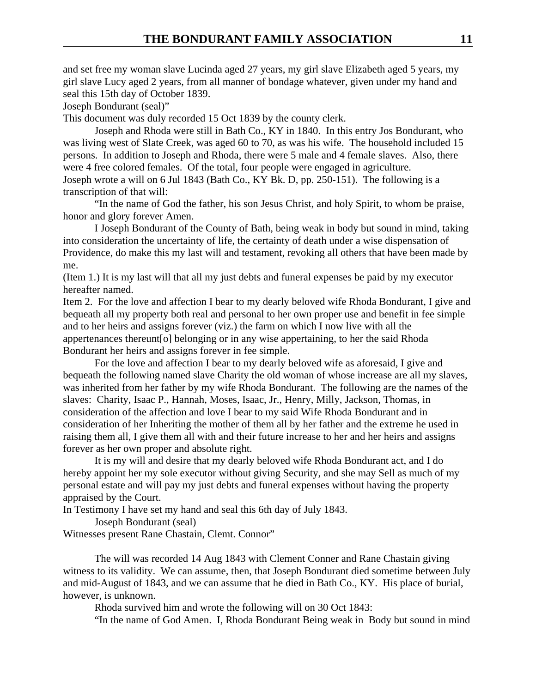and set free my woman slave Lucinda aged 27 years, my girl slave Elizabeth aged 5 years, my girl slave Lucy aged 2 years, from all manner of bondage whatever, given under my hand and seal this 15th day of October 1839.

Joseph Bondurant (seal)"

This document was duly recorded 15 Oct 1839 by the county clerk.

Joseph and Rhoda were still in Bath Co., KY in 1840. In this entry Jos Bondurant, who was living west of Slate Creek, was aged 60 to 70, as was his wife. The household included 15 persons. In addition to Joseph and Rhoda, there were 5 male and 4 female slaves. Also, there were 4 free colored females. Of the total, four people were engaged in agriculture. Joseph wrote a will on 6 Jul 1843 (Bath Co., KY Bk. D, pp. 250-151). The following is a transcription of that will:

"In the name of God the father, his son Jesus Christ, and holy Spirit, to whom be praise, honor and glory forever Amen.

I Joseph Bondurant of the County of Bath, being weak in body but sound in mind, taking into consideration the uncertainty of life, the certainty of death under a wise dispensation of Providence, do make this my last will and testament, revoking all others that have been made by me.

(Item 1.) It is my last will that all my just debts and funeral expenses be paid by my executor hereafter named.

Item 2. For the love and affection I bear to my dearly beloved wife Rhoda Bondurant, I give and bequeath all my property both real and personal to her own proper use and benefit in fee simple and to her heirs and assigns forever (viz.) the farm on which I now live with all the appertenances thereunt[o] belonging or in any wise appertaining, to her the said Rhoda Bondurant her heirs and assigns forever in fee simple.

For the love and affection I bear to my dearly beloved wife as aforesaid, I give and bequeath the following named slave Charity the old woman of whose increase are all my slaves, was inherited from her father by my wife Rhoda Bondurant. The following are the names of the slaves: Charity, Isaac P., Hannah, Moses, Isaac, Jr., Henry, Milly, Jackson, Thomas, in consideration of the affection and love I bear to my said Wife Rhoda Bondurant and in consideration of her Inheriting the mother of them all by her father and the extreme he used in raising them all, I give them all with and their future increase to her and her heirs and assigns forever as her own proper and absolute right.

It is my will and desire that my dearly beloved wife Rhoda Bondurant act, and I do hereby appoint her my sole executor without giving Security, and she may Sell as much of my personal estate and will pay my just debts and funeral expenses without having the property appraised by the Court.

In Testimony I have set my hand and seal this 6th day of July 1843.

Joseph Bondurant (seal)

Witnesses present Rane Chastain, Clemt. Connor"

The will was recorded 14 Aug 1843 with Clement Conner and Rane Chastain giving witness to its validity. We can assume, then, that Joseph Bondurant died sometime between July and mid-August of 1843, and we can assume that he died in Bath Co., KY. His place of burial, however, is unknown.

Rhoda survived him and wrote the following will on 30 Oct 1843:

"In the name of God Amen. I, Rhoda Bondurant Being weak in Body but sound in mind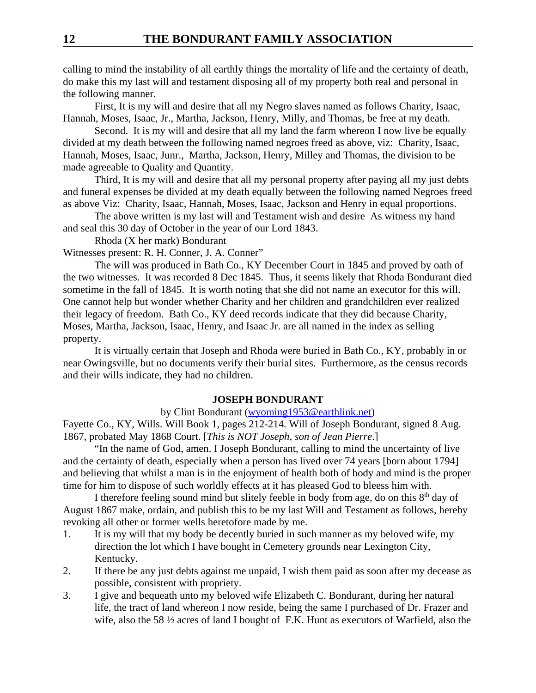calling to mind the instability of all earthly things the mortality of life and the certainty of death, do make this my last will and testament disposing all of my property both real and personal in the following manner.

First, It is my will and desire that all my Negro slaves named as follows Charity, Isaac, Hannah, Moses, Isaac, Jr., Martha, Jackson, Henry, Milly, and Thomas, be free at my death.

Second. It is my will and desire that all my land the farm whereon I now live be equally divided at my death between the following named negroes freed as above, viz: Charity, Isaac, Hannah, Moses, Isaac, Junr., Martha, Jackson, Henry, Milley and Thomas, the division to be made agreeable to Quality and Quantity.

Third, It is my will and desire that all my personal property after paying all my just debts and funeral expenses be divided at my death equally between the following named Negroes freed as above Viz: Charity, Isaac, Hannah, Moses, Isaac, Jackson and Henry in equal proportions.

The above written is my last will and Testament wish and desire As witness my hand and seal this 30 day of October in the year of our Lord 1843.

Rhoda (X her mark) Bondurant

Witnesses present: R. H. Conner, J. A. Conner"

The will was produced in Bath Co., KY December Court in 1845 and proved by oath of the two witnesses. It was recorded 8 Dec 1845. Thus, it seems likely that Rhoda Bondurant died sometime in the fall of 1845. It is worth noting that she did not name an executor for this will. One cannot help but wonder whether Charity and her children and grandchildren ever realized their legacy of freedom. Bath Co., KY deed records indicate that they did because Charity, Moses, Martha, Jackson, Isaac, Henry, and Isaac Jr. are all named in the index as selling property.

It is virtually certain that Joseph and Rhoda were buried in Bath Co., KY, probably in or near Owingsville, but no documents verify their burial sites. Furthermore, as the census records and their wills indicate, they had no children.

#### **JOSEPH BONDURANT**

#### by Clint Bondurant (wyoming1953@earthlink.net)

Fayette Co., KY, Wills. Will Book 1, pages 212-214. Will of Joseph Bondurant, signed 8 Aug. 1867, probated May 1868 Court. [*This is NOT Joseph, son of Jean Pierre*.]

"In the name of God, amen. I Joseph Bondurant, calling to mind the uncertainty of live and the certainty of death, especially when a person has lived over 74 years [born about 1794] and believing that whilst a man is in the enjoyment of health both of body and mind is the proper time for him to dispose of such worldly effects at it has pleased God to bleess him with.

I therefore feeling sound mind but slitely feeble in body from age, do on this  $8<sup>th</sup>$  day of August 1867 make, ordain, and publish this to be my last Will and Testament as follows, hereby revoking all other or former wells heretofore made by me.

- 1. It is my will that my body be decently buried in such manner as my beloved wife, my direction the lot which I have bought in Cemetery grounds near Lexington City, Kentucky.
- 2. If there be any just debts against me unpaid, I wish them paid as soon after my decease as possible, consistent with propriety.
- 3. I give and bequeath unto my beloved wife Elizabeth C. Bondurant, during her natural life, the tract of land whereon I now reside, being the same I purchased of Dr. Frazer and wife, also the 58 ½ acres of land I bought of F.K. Hunt as executors of Warfield, also the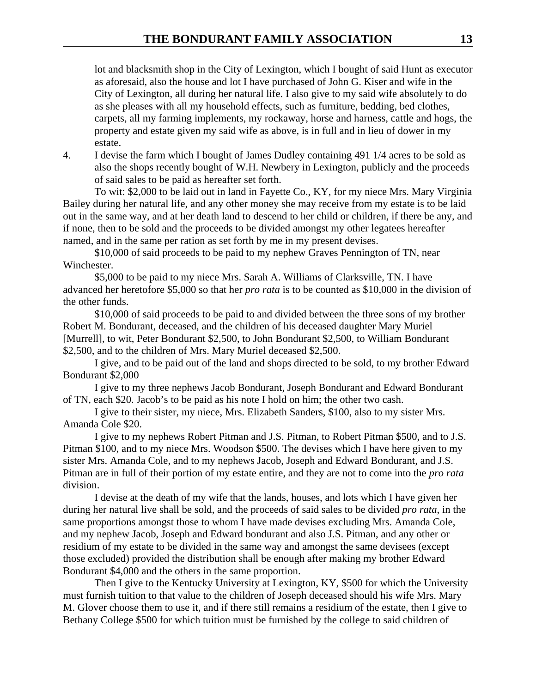lot and blacksmith shop in the City of Lexington, which I bought of said Hunt as executor as aforesaid, also the house and lot I have purchased of John G. Kiser and wife in the City of Lexington, all during her natural life. I also give to my said wife absolutely to do as she pleases with all my household effects, such as furniture, bedding, bed clothes, carpets, all my farming implements, my rockaway, horse and harness, cattle and hogs, the property and estate given my said wife as above, is in full and in lieu of dower in my estate.

4. I devise the farm which I bought of James Dudley containing 491 1/4 acres to be sold as also the shops recently bought of W.H. Newbery in Lexington, publicly and the proceeds of said sales to be paid as hereafter set forth.

To wit: \$2,000 to be laid out in land in Fayette Co., KY, for my niece Mrs. Mary Virginia Bailey during her natural life, and any other money she may receive from my estate is to be laid out in the same way, and at her death land to descend to her child or children, if there be any, and if none, then to be sold and the proceeds to be divided amongst my other legatees hereafter named, and in the same per ration as set forth by me in my present devises.

\$10,000 of said proceeds to be paid to my nephew Graves Pennington of TN, near Winchester.

\$5,000 to be paid to my niece Mrs. Sarah A. Williams of Clarksville, TN. I have advanced her heretofore \$5,000 so that her *pro rata* is to be counted as \$10,000 in the division of the other funds.

\$10,000 of said proceeds to be paid to and divided between the three sons of my brother Robert M. Bondurant, deceased, and the children of his deceased daughter Mary Muriel [Murrell], to wit, Peter Bondurant \$2,500, to John Bondurant \$2,500, to William Bondurant \$2,500, and to the children of Mrs. Mary Muriel deceased \$2,500.

I give, and to be paid out of the land and shops directed to be sold, to my brother Edward Bondurant \$2,000

I give to my three nephews Jacob Bondurant, Joseph Bondurant and Edward Bondurant of TN, each \$20. Jacob's to be paid as his note I hold on him; the other two cash.

I give to their sister, my niece, Mrs. Elizabeth Sanders, \$100, also to my sister Mrs. Amanda Cole \$20.

I give to my nephews Robert Pitman and J.S. Pitman, to Robert Pitman \$500, and to J.S. Pitman \$100, and to my niece Mrs. Woodson \$500. The devises which I have here given to my sister Mrs. Amanda Cole, and to my nephews Jacob, Joseph and Edward Bondurant, and J.S. Pitman are in full of their portion of my estate entire, and they are not to come into the *pro rata* division.

I devise at the death of my wife that the lands, houses, and lots which I have given her during her natural live shall be sold, and the proceeds of said sales to be divided *pro rata*, in the same proportions amongst those to whom I have made devises excluding Mrs. Amanda Cole, and my nephew Jacob, Joseph and Edward bondurant and also J.S. Pitman, and any other or residium of my estate to be divided in the same way and amongst the same devisees (except those excluded) provided the distribution shall be enough after making my brother Edward Bondurant \$4,000 and the others in the same proportion.

Then I give to the Kentucky University at Lexington, KY, \$500 for which the University must furnish tuition to that value to the children of Joseph deceased should his wife Mrs. Mary M. Glover choose them to use it, and if there still remains a residium of the estate, then I give to Bethany College \$500 for which tuition must be furnished by the college to said children of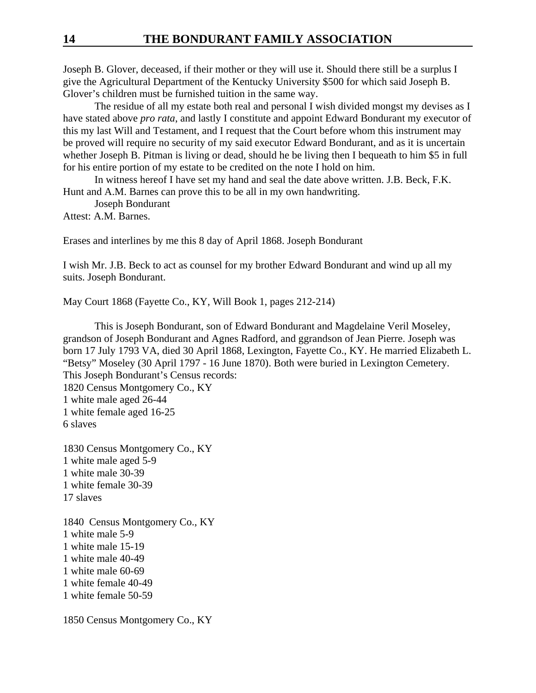Joseph B. Glover, deceased, if their mother or they will use it. Should there still be a surplus I give the Agricultural Department of the Kentucky University \$500 for which said Joseph B. Glover's children must be furnished tuition in the same way.

The residue of all my estate both real and personal I wish divided mongst my devises as I have stated above *pro rata*, and lastly I constitute and appoint Edward Bondurant my executor of this my last Will and Testament, and I request that the Court before whom this instrument may be proved will require no security of my said executor Edward Bondurant, and as it is uncertain whether Joseph B. Pitman is living or dead, should he be living then I bequeath to him \$5 in full for his entire portion of my estate to be credited on the note I hold on him.

In witness hereof I have set my hand and seal the date above written. J.B. Beck, F.K. Hunt and A.M. Barnes can prove this to be all in my own handwriting.

Joseph Bondurant

Attest: A.M. Barnes.

Erases and interlines by me this 8 day of April 1868. Joseph Bondurant

I wish Mr. J.B. Beck to act as counsel for my brother Edward Bondurant and wind up all my suits. Joseph Bondurant.

May Court 1868 (Fayette Co., KY, Will Book 1, pages 212-214)

This is Joseph Bondurant, son of Edward Bondurant and Magdelaine Veril Moseley, grandson of Joseph Bondurant and Agnes Radford, and ggrandson of Jean Pierre. Joseph was born 17 July 1793 VA, died 30 April 1868, Lexington, Fayette Co., KY. He married Elizabeth L. "Betsy" Moseley (30 April 1797 - 16 June 1870). Both were buried in Lexington Cemetery. This Joseph Bondurant's Census records: 1820 Census Montgomery Co., KY 1 white male aged 26-44 1 white female aged 16-25 6 slaves

1830 Census Montgomery Co., KY 1 white male aged 5-9 1 white male 30-39 1 white female 30-39 17 slaves

1840 Census Montgomery Co., KY 1 white male 5-9 1 white male 15-19 1 white male 40-49 1 white male 60-69 1 white female 40-49 1 white female 50-59

1850 Census Montgomery Co., KY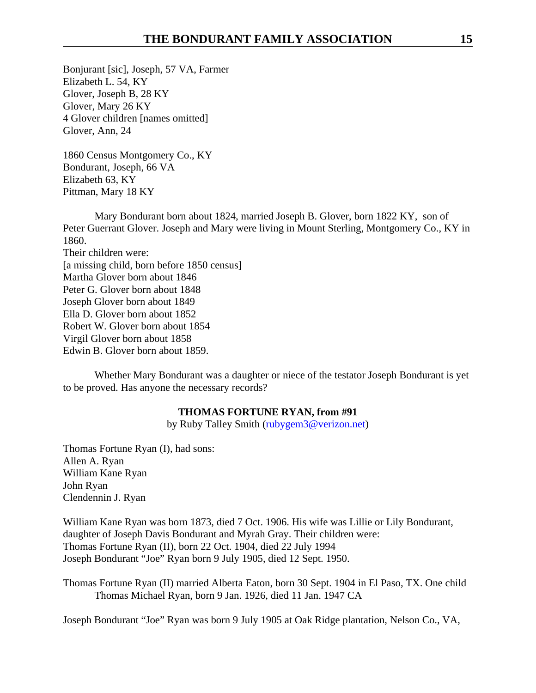Bonjurant [sic], Joseph, 57 VA, Farmer Elizabeth L. 54, KY Glover, Joseph B, 28 KY Glover, Mary 26 KY 4 Glover children [names omitted] Glover, Ann, 24

1860 Census Montgomery Co., KY Bondurant, Joseph, 66 VA Elizabeth 63, KY Pittman, Mary 18 KY

Mary Bondurant born about 1824, married Joseph B. Glover, born 1822 KY, son of Peter Guerrant Glover. Joseph and Mary were living in Mount Sterling, Montgomery Co., KY in 1860. Their children were: [a missing child, born before 1850 census] Martha Glover born about 1846 Peter G. Glover born about 1848 Joseph Glover born about 1849 Ella D. Glover born about 1852 Robert W. Glover born about 1854 Virgil Glover born about 1858 Edwin B. Glover born about 1859.

Whether Mary Bondurant was a daughter or niece of the testator Joseph Bondurant is yet to be proved. Has anyone the necessary records?

### **THOMAS FORTUNE RYAN, from #91**

by Ruby Talley Smith (rubygem3@verizon.net)

Thomas Fortune Ryan (I), had sons: Allen A. Ryan William Kane Ryan John Ryan Clendennin J. Ryan

William Kane Ryan was born 1873, died 7 Oct. 1906. His wife was Lillie or Lily Bondurant, daughter of Joseph Davis Bondurant and Myrah Gray. Their children were: Thomas Fortune Ryan (II), born 22 Oct. 1904, died 22 July 1994 Joseph Bondurant "Joe" Ryan born 9 July 1905, died 12 Sept. 1950.

Thomas Fortune Ryan (II) married Alberta Eaton, born 30 Sept. 1904 in El Paso, TX. One child Thomas Michael Ryan, born 9 Jan. 1926, died 11 Jan. 1947 CA

Joseph Bondurant "Joe" Ryan was born 9 July 1905 at Oak Ridge plantation, Nelson Co., VA,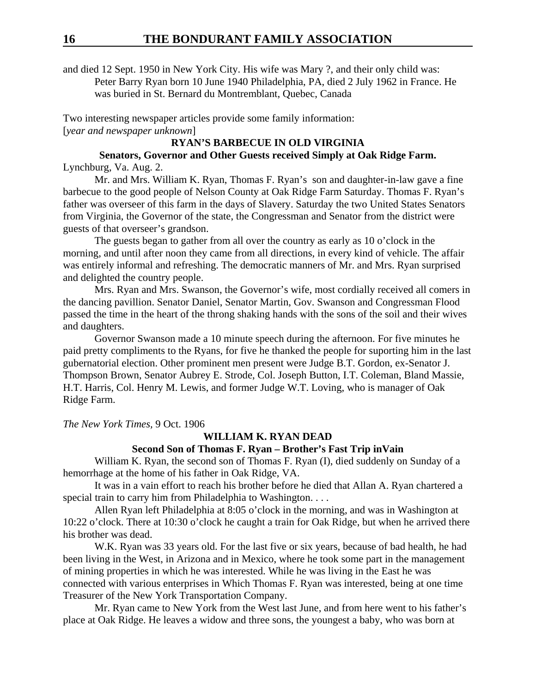and died 12 Sept. 1950 in New York City. His wife was Mary ?, and their only child was: Peter Barry Ryan born 10 June 1940 Philadelphia, PA, died 2 July 1962 in France. He was buried in St. Bernard du Montremblant, Quebec, Canada

Two interesting newspaper articles provide some family information: [*year and newspaper unknown*]

### **RYAN'S BARBECUE IN OLD VIRGINIA**

**Senators, Governor and Other Guests received Simply at Oak Ridge Farm.** Lynchburg, Va. Aug. 2.

Mr. and Mrs. William K. Ryan, Thomas F. Ryan's son and daughter-in-law gave a fine barbecue to the good people of Nelson County at Oak Ridge Farm Saturday. Thomas F. Ryan's father was overseer of this farm in the days of Slavery. Saturday the two United States Senators from Virginia, the Governor of the state, the Congressman and Senator from the district were guests of that overseer's grandson.

The guests began to gather from all over the country as early as 10 o'clock in the morning, and until after noon they came from all directions, in every kind of vehicle. The affair was entirely informal and refreshing. The democratic manners of Mr. and Mrs. Ryan surprised and delighted the country people.

Mrs. Ryan and Mrs. Swanson, the Governor's wife, most cordially received all comers in the dancing pavillion. Senator Daniel, Senator Martin, Gov. Swanson and Congressman Flood passed the time in the heart of the throng shaking hands with the sons of the soil and their wives and daughters.

Governor Swanson made a 10 minute speech during the afternoon. For five minutes he paid pretty compliments to the Ryans, for five he thanked the people for suporting him in the last gubernatorial election. Other prominent men present were Judge B.T. Gordon, ex-Senator J. Thompson Brown, Senator Aubrey E. Strode, Col. Joseph Button, I.T. Coleman, Bland Massie, H.T. Harris, Col. Henry M. Lewis, and former Judge W.T. Loving, who is manager of Oak Ridge Farm.

*The New York Times,* 9 Oct. 1906

### **WILLIAM K. RYAN DEAD**

#### **Second Son of Thomas F. Ryan – Brother's Fast Trip inVain**

William K. Ryan, the second son of Thomas F. Ryan (I), died suddenly on Sunday of a hemorrhage at the home of his father in Oak Ridge, VA.

It was in a vain effort to reach his brother before he died that Allan A. Ryan chartered a special train to carry him from Philadelphia to Washington. . . .

Allen Ryan left Philadelphia at 8:05 o'clock in the morning, and was in Washington at 10:22 o'clock. There at 10:30 o'clock he caught a train for Oak Ridge, but when he arrived there his brother was dead.

W.K. Ryan was 33 years old. For the last five or six years, because of bad health, he had been living in the West, in Arizona and in Mexico, where he took some part in the management of mining properties in which he was interested. While he was living in the East he was connected with various enterprises in Which Thomas F. Ryan was interested, being at one time Treasurer of the New York Transportation Company.

Mr. Ryan came to New York from the West last June, and from here went to his father's place at Oak Ridge. He leaves a widow and three sons, the youngest a baby, who was born at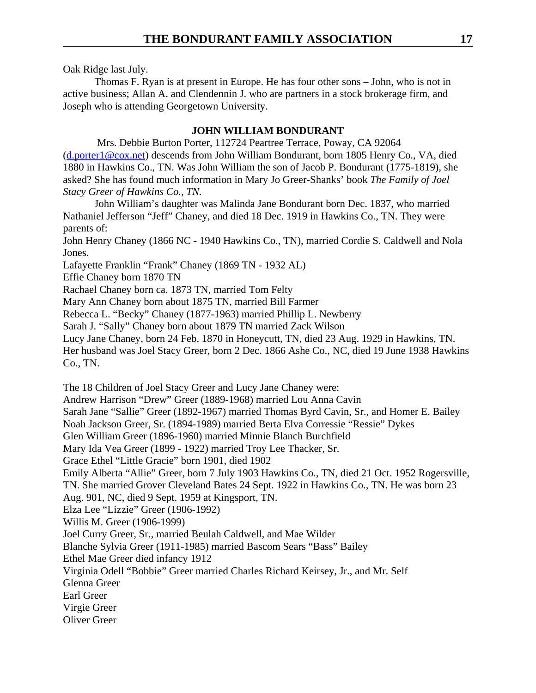Oak Ridge last July.

Thomas F. Ryan is at present in Europe. He has four other sons – John, who is not in active business; Allan A. and Clendennin J. who are partners in a stock brokerage firm, and Joseph who is attending Georgetown University.

# **JOHN WILLIAM BONDURANT**

 Mrs. Debbie Burton Porter, 112724 Peartree Terrace, Poway, CA 92064 (d.porter1@cox.net) descends from John William Bondurant, born 1805 Henry Co., VA, died 1880 in Hawkins Co., TN. Was John William the son of Jacob P. Bondurant (1775-1819), she asked? She has found much information in Mary Jo Greer-Shanks' book *The Family of Joel Stacy Greer of Hawkins Co., TN.*

John William's daughter was Malinda Jane Bondurant born Dec. 1837, who married Nathaniel Jefferson "Jeff" Chaney, and died 18 Dec. 1919 in Hawkins Co., TN. They were parents of:

John Henry Chaney (1866 NC - 1940 Hawkins Co., TN), married Cordie S. Caldwell and Nola Jones.

Lafayette Franklin "Frank" Chaney (1869 TN - 1932 AL)

Effie Chaney born 1870 TN

Rachael Chaney born ca. 1873 TN, married Tom Felty

Mary Ann Chaney born about 1875 TN, married Bill Farmer

Rebecca L. "Becky" Chaney (1877-1963) married Phillip L. Newberry

Sarah J. "Sally" Chaney born about 1879 TN married Zack Wilson

Lucy Jane Chaney, born 24 Feb. 1870 in Honeycutt, TN, died 23 Aug. 1929 in Hawkins, TN.

Her husband was Joel Stacy Greer, born 2 Dec. 1866 Ashe Co., NC, died 19 June 1938 Hawkins Co., TN.

The 18 Children of Joel Stacy Greer and Lucy Jane Chaney were:

Andrew Harrison "Drew" Greer (1889-1968) married Lou Anna Cavin

Sarah Jane "Sallie" Greer (1892-1967) married Thomas Byrd Cavin, Sr., and Homer E. Bailey

Noah Jackson Greer, Sr. (1894-1989) married Berta Elva Corressie "Ressie" Dykes

Glen William Greer (1896-1960) married Minnie Blanch Burchfield

Mary Ida Vea Greer (1899 - 1922) married Troy Lee Thacker, Sr.

Grace Ethel "Little Gracie" born 1901, died 1902

Emily Alberta "Allie" Greer, born 7 July 1903 Hawkins Co., TN, died 21 Oct. 1952 Rogersville, TN. She married Grover Cleveland Bates 24 Sept. 1922 in Hawkins Co., TN. He was born 23

Aug. 901, NC, died 9 Sept. 1959 at Kingsport, TN.

Elza Lee "Lizzie" Greer (1906-1992)

Willis M. Greer (1906-1999)

Joel Curry Greer, Sr., married Beulah Caldwell, and Mae Wilder

Blanche Sylvia Greer (1911-1985) married Bascom Sears "Bass" Bailey

Ethel Mae Greer died infancy 1912

Virginia Odell "Bobbie" Greer married Charles Richard Keirsey, Jr., and Mr. Self

Glenna Greer

Earl Greer

Virgie Greer

Oliver Greer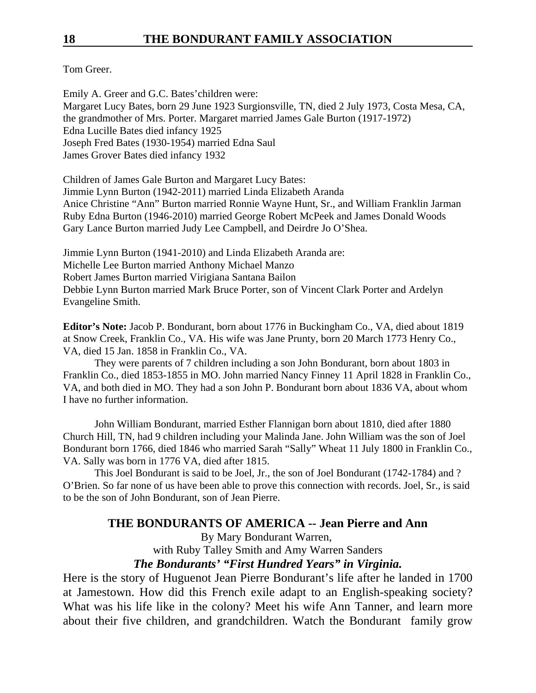Tom Greer.

Emily A. Greer and G.C. Bates'children were: Margaret Lucy Bates, born 29 June 1923 Surgionsville, TN, died 2 July 1973, Costa Mesa, CA, the grandmother of Mrs. Porter. Margaret married James Gale Burton (1917-1972) Edna Lucille Bates died infancy 1925 Joseph Fred Bates (1930-1954) married Edna Saul James Grover Bates died infancy 1932

Children of James Gale Burton and Margaret Lucy Bates: Jimmie Lynn Burton (1942-2011) married Linda Elizabeth Aranda Anice Christine "Ann" Burton married Ronnie Wayne Hunt, Sr., and William Franklin Jarman Ruby Edna Burton (1946-2010) married George Robert McPeek and James Donald Woods Gary Lance Burton married Judy Lee Campbell, and Deirdre Jo O'Shea.

Jimmie Lynn Burton (1941-2010) and Linda Elizabeth Aranda are: Michelle Lee Burton married Anthony Michael Manzo Robert James Burton married Virigiana Santana Bailon Debbie Lynn Burton married Mark Bruce Porter, son of Vincent Clark Porter and Ardelyn Evangeline Smith.

**Editor's Note:** Jacob P. Bondurant, born about 1776 in Buckingham Co., VA, died about 1819 at Snow Creek, Franklin Co., VA. His wife was Jane Prunty, born 20 March 1773 Henry Co., VA, died 15 Jan. 1858 in Franklin Co., VA.

They were parents of 7 children including a son John Bondurant, born about 1803 in Franklin Co., died 1853-1855 in MO. John married Nancy Finney 11 April 1828 in Franklin Co., VA, and both died in MO. They had a son John P. Bondurant born about 1836 VA, about whom I have no further information.

John William Bondurant, married Esther Flannigan born about 1810, died after 1880 Church Hill, TN, had 9 children including your Malinda Jane. John William was the son of Joel Bondurant born 1766, died 1846 who married Sarah "Sally" Wheat 11 July 1800 in Franklin Co., VA. Sally was born in 1776 VA, died after 1815.

This Joel Bondurant is said to be Joel, Jr., the son of Joel Bondurant (1742-1784) and ? O'Brien. So far none of us have been able to prove this connection with records. Joel, Sr., is said to be the son of John Bondurant, son of Jean Pierre.

# **THE BONDURANTS OF AMERICA -- Jean Pierre and Ann**

By Mary Bondurant Warren,

with Ruby Talley Smith and Amy Warren Sanders

# *The Bondurants' "First Hundred Years" in Virginia.*

Here is the story of Huguenot Jean Pierre Bondurant's life after he landed in 1700 at Jamestown. How did this French exile adapt to an English-speaking society? What was his life like in the colony? Meet his wife Ann Tanner, and learn more about their five children, and grandchildren. Watch the Bondurant family grow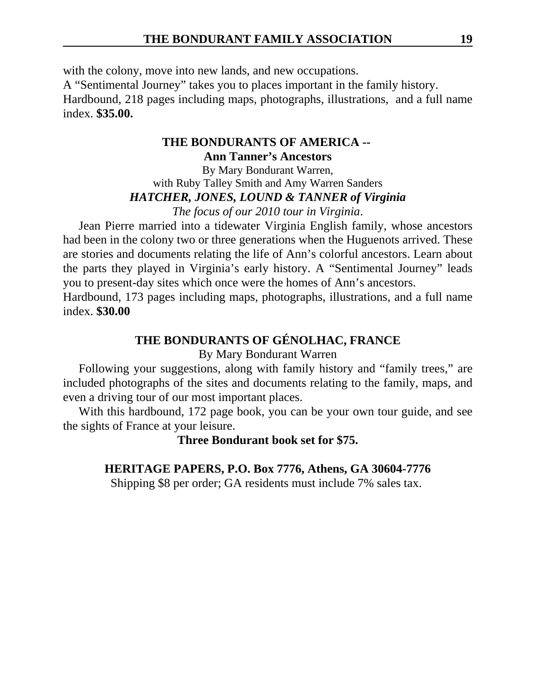with the colony, move into new lands, and new occupations.

A "Sentimental Journey" takes you to places important in the family history.

Hardbound, 218 pages including maps, photographs, illustrations, and a full name index. **\$35.00.** 

# **THE BONDURANTS OF AMERICA -- Ann Tanner's Ancestors**

By Mary Bondurant Warren, with Ruby Talley Smith and Amy Warren Sanders *HATCHER, JONES, LOUND & TANNER of Virginia The focus of our 2010 tour in Virginia*.

Jean Pierre married into a tidewater Virginia English family, whose ancestors had been in the colony two or three generations when the Huguenots arrived. These are stories and documents relating the life of Ann's colorful ancestors. Learn about the parts they played in Virginia's early history. A "Sentimental Journey" leads you to present-day sites which once were the homes of Ann's ancestors.

Hardbound, 173 pages including maps, photographs, illustrations, and a full name index. **\$30.00**

# **THE BONDURANTS OF GÉNOLHAC, FRANCE**

# By Mary Bondurant Warren

Following your suggestions, along with family history and "family trees," are included photographs of the sites and documents relating to the family, maps, and even a driving tour of our most important places.

With this hardbound, 172 page book, you can be your own tour guide, and see the sights of France at your leisure.

**Three Bondurant book set for \$75.**

# **HERITAGE PAPERS, P.O. Box 7776, Athens, GA 30604-7776**

Shipping \$8 per order; GA residents must include 7% sales tax.